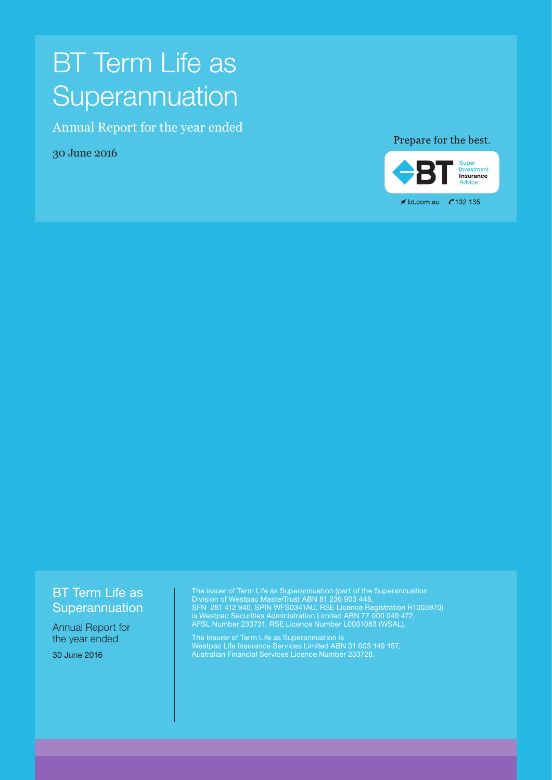## BT Term Life as **Superannuation**

Annual Report for the year ended

30 June 2016

Prepare for the best.



## BT Term Life as **Superannuation**

Annual Report for the year ended

30 June 2016

The issuer of Term Life as Superannuation (part of the Superannuation Division of Westpac MasterTrust ABN 81 236 903 448, SFN 281 412 940, SPIN WFS0341AU, RSE Licence Registration R1003970) is Westpac Securities Administration Limited ABN 77 000 049 472, AFSL Number 233731, RSE Licence Number L0001083 (WSAL).

The Insurer of Term Life as Superannuation is Westpac Life Insurance Services Limited ABN 31 003 149 157, Australian Financial Services Licence Number 233728.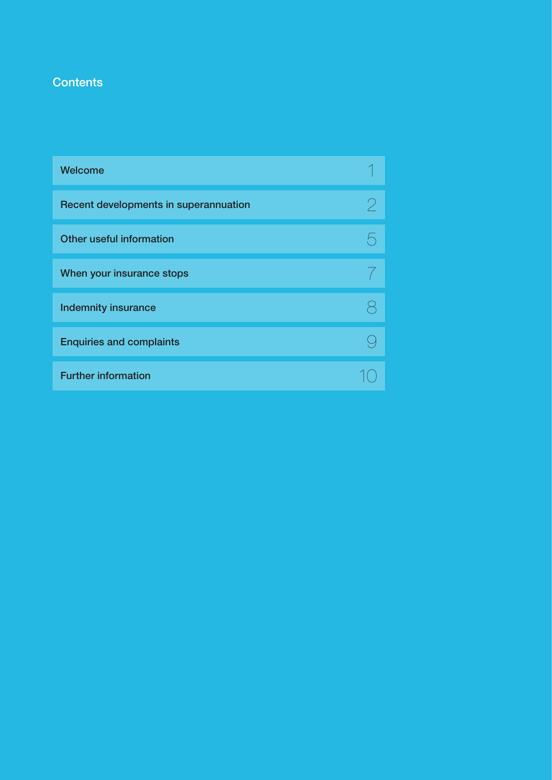## **Contents**

| Welcome                               |  |
|---------------------------------------|--|
| Recent developments in superannuation |  |
| Other useful information              |  |
| When your insurance stops             |  |
| <b>Indemnity insurance</b>            |  |
| <b>Enquiries and complaints</b>       |  |
| <b>Further information</b>            |  |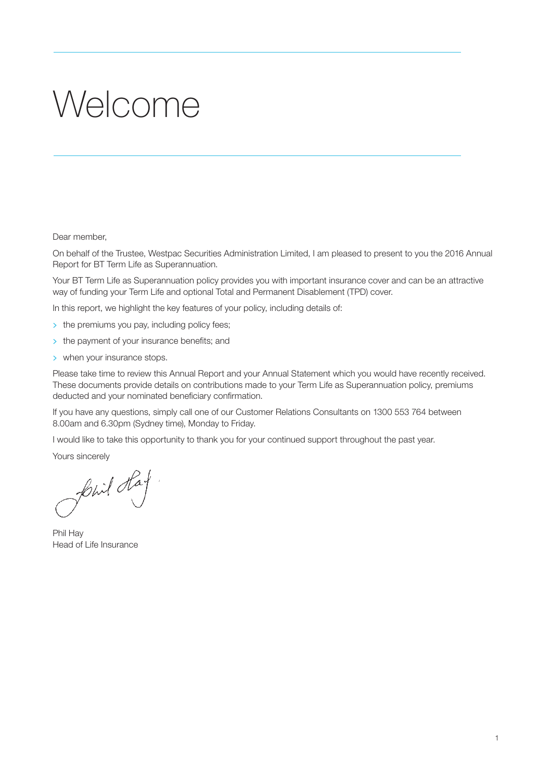## Welcome

Dear member,

On behalf of the Trustee, Westpac Securities Administration Limited, I am pleased to present to you the 2016 Annual Report for BT Term Life as Superannuation.

Your BT Term Life as Superannuation policy provides you with important insurance cover and can be an attractive way of funding your Term Life and optional Total and Permanent Disablement (TPD) cover.

In this report, we highlight the key features of your policy, including details of:

- > the premiums you pay, including policy fees;
- > the payment of your insurance benefits; and
- > when your insurance stops.

Please take time to review this Annual Report and your Annual Statement which you would have recently received. These documents provide details on contributions made to your Term Life as Superannuation policy, premiums deducted and your nominated beneficiary confirmation.

If you have any questions, simply call one of our Customer Relations Consultants on 1300 553 764 between 8.00am and 6.30pm (Sydney time), Monday to Friday.

I would like to take this opportunity to thank you for your continued support throughout the past year.

Yours sincerely

foril day

Phil Hay Head of Life Insurance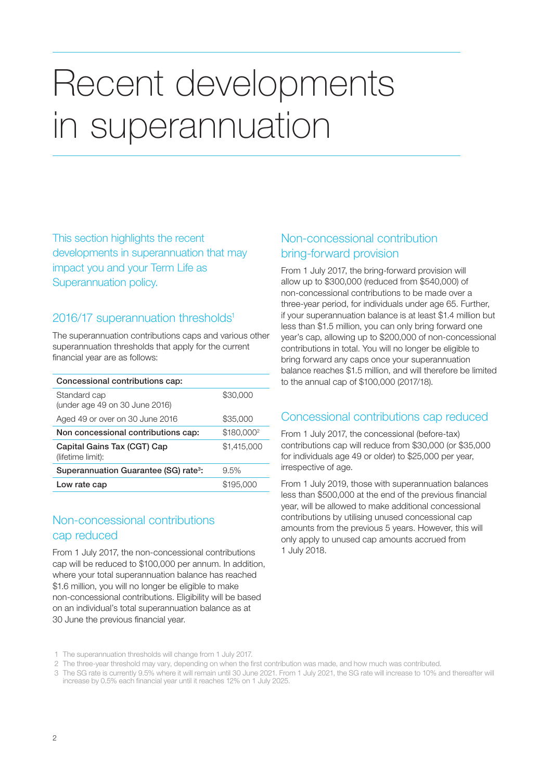# Recent developments in superannuation

This section highlights the recent developments in superannuation that may impact you and your Term Life as Superannuation policy.

### 2016/17 superannuation thresholds<sup>1</sup>

The superannuation contributions caps and various other superannuation thresholds that apply for the current financial year are as follows:

| Concessional contributions cap:                                 |                        |
|-----------------------------------------------------------------|------------------------|
| Standard cap<br>(under age 49 on 30 June 2016)                  | \$30,000               |
| Aged 49 or over on 30 June 2016                                 | \$35,000               |
| Non concessional contributions cap:                             | \$180,000 <sup>2</sup> |
| \$1,415,000<br>Capital Gains Tax (CGT) Cap<br>(lifetime limit): |                        |
| Superannuation Guarantee (SG) rate <sup>3</sup> :               | 9.5%                   |
| Low rate cap                                                    | \$195,000              |

## Non-concessional contributions cap reduced

From 1 July 2017, the non-concessional contributions cap will be reduced to \$100,000 per annum. In addition, where your total superannuation balance has reached \$1.6 million, you will no longer be eligible to make non-concessional contributions. Eligibility will be based on an individual's total superannuation balance as at 30 June the previous financial year.

## Non-concessional contribution bring-forward provision

From 1 July 2017, the bring-forward provision will allow up to \$300,000 (reduced from \$540,000) of non-concessional contributions to be made over a three-year period, for individuals under age 65. Further, if your superannuation balance is at least \$1.4 million but less than \$1.5 million, you can only bring forward one year's cap, allowing up to \$200,000 of non-concessional contributions in total. You will no longer be eligible to bring forward any caps once your superannuation balance reaches \$1.5 million, and will therefore be limited to the annual cap of \$100,000 (2017/18).

## Concessional contributions cap reduced

From 1 July 2017, the concessional (before-tax) contributions cap will reduce from \$30,000 (or \$35,000 for individuals age 49 or older) to \$25,000 per year, irrespective of age.

From 1 July 2019, those with superannuation balances less than \$500,000 at the end of the previous financial year, will be allowed to make additional concessional contributions by utilising unused concessional cap amounts from the previous 5 years. However, this will only apply to unused cap amounts accrued from 1 July 2018.

 <sup>1</sup> The superannuation thresholds will change from 1 July 2017.

 <sup>2</sup> The three-year threshold may vary, depending on when the first contribution was made, and how much was contributed.

 <sup>3</sup> The SG rate is currently 9.5% where it will remain until 30 June 2021. From 1 July 2021, the SG rate will increase to 10% and thereafter will increase by 0.5% each financial year until it reaches 12% on 1 July 2025.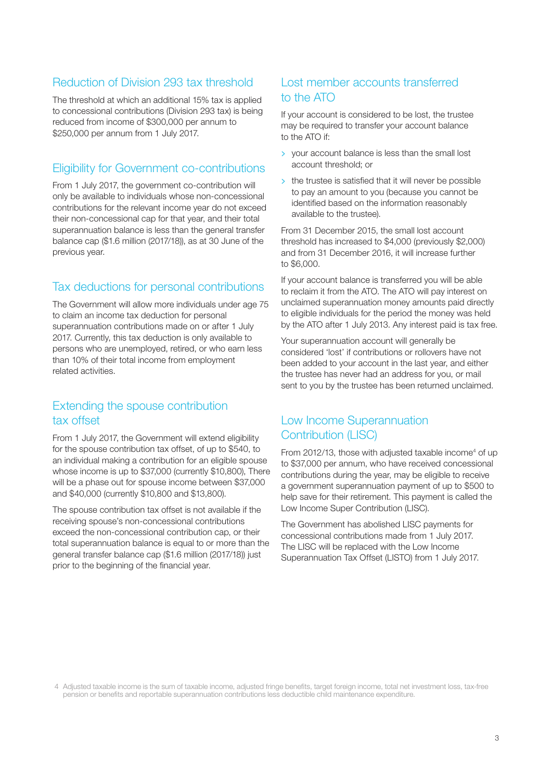## Reduction of Division 293 tax threshold

The threshold at which an additional 15% tax is applied to concessional contributions (Division 293 tax) is being reduced from income of \$300,000 per annum to \$250,000 per annum from 1 July 2017.

## Eligibility for Government co-contributions

From 1 July 2017, the government co-contribution will only be available to individuals whose non-concessional contributions for the relevant income year do not exceed their non-concessional cap for that year, and their total superannuation balance is less than the general transfer balance cap (\$1.6 million (2017/18)), as at 30 June of the previous year.

## Tax deductions for personal contributions

The Government will allow more individuals under age 75 to claim an income tax deduction for personal superannuation contributions made on or after 1 July 2017. Currently, this tax deduction is only available to persons who are unemployed, retired, or who earn less than 10% of their total income from employment related activities.

## Extending the spouse contribution tax offset

From 1 July 2017, the Government will extend eligibility for the spouse contribution tax offset, of up to \$540, to an individual making a contribution for an eligible spouse whose income is up to \$37,000 (currently \$10,800), There will be a phase out for spouse income between \$37,000 and \$40,000 (currently \$10,800 and \$13,800).

The spouse contribution tax offset is not available if the receiving spouse's non-concessional contributions exceed the non-concessional contribution cap, or their total superannuation balance is equal to or more than the general transfer balance cap (\$1.6 million (2017/18)) just prior to the beginning of the financial year.

### Lost member accounts transferred to the ATO

If your account is considered to be lost, the trustee may be required to transfer your account balance to the ATO if:

- > your account balance is less than the small lost account threshold; or
- > the trustee is satisfied that it will never be possible to pay an amount to you (because you cannot be identified based on the information reasonably available to the trustee).

From 31 December 2015, the small lost account threshold has increased to \$4,000 (previously \$2,000) and from 31 December 2016, it will increase further to \$6,000.

If your account balance is transferred you will be able to reclaim it from the ATO. The ATO will pay interest on unclaimed superannuation money amounts paid directly to eligible individuals for the period the money was held by the ATO after 1 July 2013. Any interest paid is tax free.

Your superannuation account will generally be considered 'lost' if contributions or rollovers have not been added to your account in the last year, and either the trustee has never had an address for you, or mail sent to you by the trustee has been returned unclaimed.

## Low Income Superannuation Contribution (LISC)

From 2012/13, those with adjusted taxable income<sup>4</sup> of up to \$37,000 per annum, who have received concessional contributions during the year, may be eligible to receive a government superannuation payment of up to \$500 to help save for their retirement. This payment is called the Low Income Super Contribution (LISC).

The Government has abolished LISC payments for concessional contributions made from 1 July 2017. The LISC will be replaced with the Low Income Superannuation Tax Offset (LISTO) from 1 July 2017.

 <sup>4</sup> Adjusted taxable income is the sum of taxable income, adjusted fringe benefits, target foreign income, total net investment loss, tax-free pension or benefits and reportable superannuation contributions less deductible child maintenance expenditure.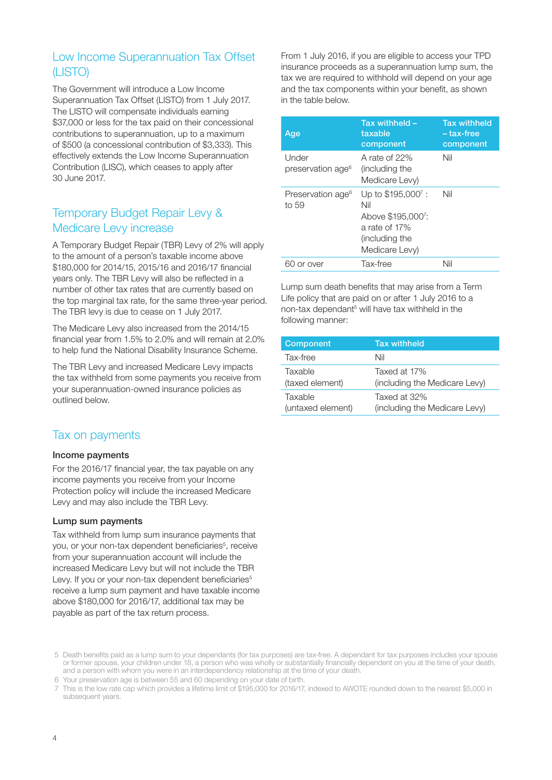## Low Income Superannuation Tax Offset (LISTO)

The Government will introduce a Low Income Superannuation Tax Offset (LISTO) from 1 July 2017. The LISTO will compensate individuals earning \$37,000 or less for the tax paid on their concessional contributions to superannuation, up to a maximum of \$500 (a concessional contribution of \$3,333). This effectively extends the Low Income Superannuation Contribution (LISC), which ceases to apply after 30 June 2017.

## Temporary Budget Repair Levy & Medicare Levy increase

A Temporary Budget Repair (TBR) Levy of 2% will apply to the amount of a person's taxable income above \$180,000 for 2014/15, 2015/16 and 2016/17 financial years only. The TBR Levy will also be reflected in a number of other tax rates that are currently based on the top marginal tax rate, for the same three-year period. The TBR levy is due to cease on 1 July 2017.

The Medicare Levy also increased from the 2014/15 financial year from 1.5% to 2.0% and will remain at 2.0% to help fund the National Disability Insurance Scheme.

The TBR Levy and increased Medicare Levy impacts the tax withheld from some payments you receive from your superannuation-owned insurance policies as outlined below.

## Tax on payments

#### Income payments

For the 2016/17 financial year, the tax payable on any income payments you receive from your Income Protection policy will include the increased Medicare Levy and may also include the TBR Levy.

#### Lump sum payments

Tax withheld from lump sum insurance payments that you, or your non-tax dependent beneficiaries<sup>5</sup>, receive from your superannuation account will include the increased Medicare Levy but will not include the TBR Levy. If you or your non-tax dependent beneficiaries<sup>5</sup> receive a lump sum payment and have taxable income above \$180,000 for 2016/17, additional tax may be payable as part of the tax return process.

From 1 July 2016, if you are eligible to access your TPD insurance proceeds as a superannuation lump sum, the tax we are required to withhold will depend on your age and the tax components within your benefit, as shown in the table below.

| Age                                    | Tax withheld -<br>taxable<br>component                                                                                       | <b>Tax withheld</b><br>- tax-free<br>component |
|----------------------------------------|------------------------------------------------------------------------------------------------------------------------------|------------------------------------------------|
| Under<br>preservation age <sup>6</sup> | A rate of $22\%$<br>(including the<br>Medicare Levy)                                                                         | Nil                                            |
| Preservation age <sup>6</sup><br>to 59 | Up to \$195,000 <sup>7</sup> :<br>Nil<br>Above \$195,000 <sup>7</sup> :<br>a rate of 17%<br>(including the<br>Medicare Levy) | Nil                                            |
| 60 or over                             | Tax-free                                                                                                                     | Nil                                            |

Lump sum death benefits that may arise from a Term Life policy that are paid on or after 1 July 2016 to a non-tax dependant<sup>5</sup> will have tax withheld in the following manner:

| Component         | <b>Tax withheld</b>           |
|-------------------|-------------------------------|
| Tax-free          | Nil                           |
| Taxable           | Taxed at 17%                  |
| (taxed element)   | (including the Medicare Levy) |
| Taxable           | Taxed at 32%                  |
| (untaxed element) | (including the Medicare Levy) |

 <sup>5</sup> Death benefits paid as a lump sum to your dependants (for tax purposes) are tax-free. A dependant for tax purposes includes your spouse or former spouse, your children under 18, a person who was wholly or substantially financially dependent on you at the time of your death, and a person with whom you were in an interdependency relationship at the time of your death.

 <sup>6</sup> Your preservation age is between 55 and 60 depending on your date of birth.

 <sup>7</sup> This is the low rate cap which provides a lifetime limit of \$195,000 for 2016/17, indexed to AWOTE rounded down to the nearest \$5,000 in subsequent years.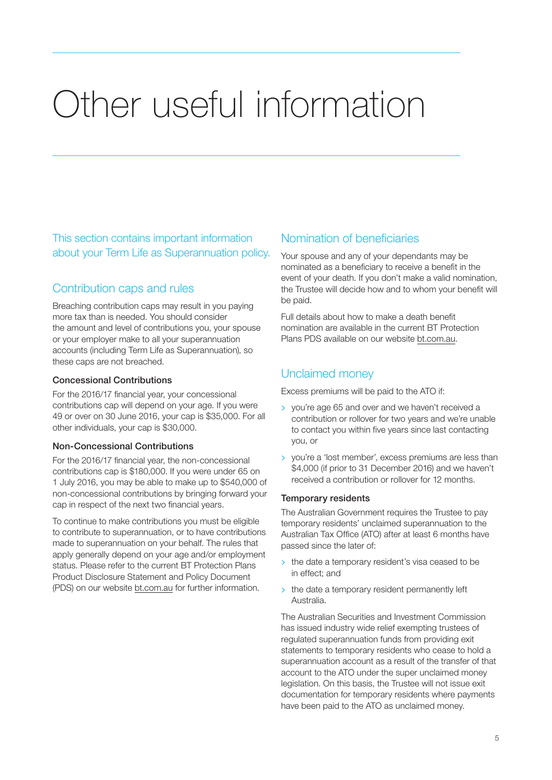## Other useful information

This section contains important information about your Term Life as Superannuation policy.

## Contribution caps and rules

Breaching contribution caps may result in you paying more tax than is needed. You should consider the amount and level of contributions you, your spouse or your employer make to all your superannuation accounts (including Term Life as Superannuation), so these caps are not breached.

#### Concessional Contributions

For the 2016/17 financial year, your concessional contributions cap will depend on your age. If you were 49 or over on 30 June 2016, your cap is \$35,000. For all other individuals, your cap is \$30,000.

#### Non-Concessional Contributions

For the 2016/17 financial year, the non-concessional contributions cap is \$180,000. If you were under 65 on 1 July 2016, you may be able to make up to \$540,000 of non-concessional contributions by bringing forward your cap in respect of the next two financial years.

To continue to make contributions you must be eligible to contribute to superannuation, or to have contributions made to superannuation on your behalf. The rules that apply generally depend on your age and/or employment status. Please refer to the current BT Protection Plans Product Disclosure Statement and Policy Document (PDS) on our website bt.com.au for further information.

## Nomination of beneficiaries

Your spouse and any of your dependants may be nominated as a beneficiary to receive a benefit in the event of your death. If you don't make a valid nomination, the Trustee will decide how and to whom your benefit will be paid.

Full details about how to make a death benefit nomination are available in the current BT Protection Plans PDS available on our website bt.com.au.

### Unclaimed money

Excess premiums will be paid to the ATO if:

- > you're age 65 and over and we haven't received a contribution or rollover for two years and we're unable to contact you within five years since last contacting you, or
- > you're a 'lost member', excess premiums are less than \$4,000 (if prior to 31 December 2016) and we haven't received a contribution or rollover for 12 months.

#### Temporary residents

The Australian Government requires the Trustee to pay temporary residents' unclaimed superannuation to the Australian Tax Office (ATO) after at least 6 months have passed since the later of:

- > the date a temporary resident's visa ceased to be in effect; and
- > the date a temporary resident permanently left Australia.

The Australian Securities and Investment Commission has issued industry wide relief exempting trustees of regulated superannuation funds from providing exit statements to temporary residents who cease to hold a superannuation account as a result of the transfer of that account to the ATO under the super unclaimed money legislation. On this basis, the Trustee will not issue exit documentation for temporary residents where payments have been paid to the ATO as unclaimed money.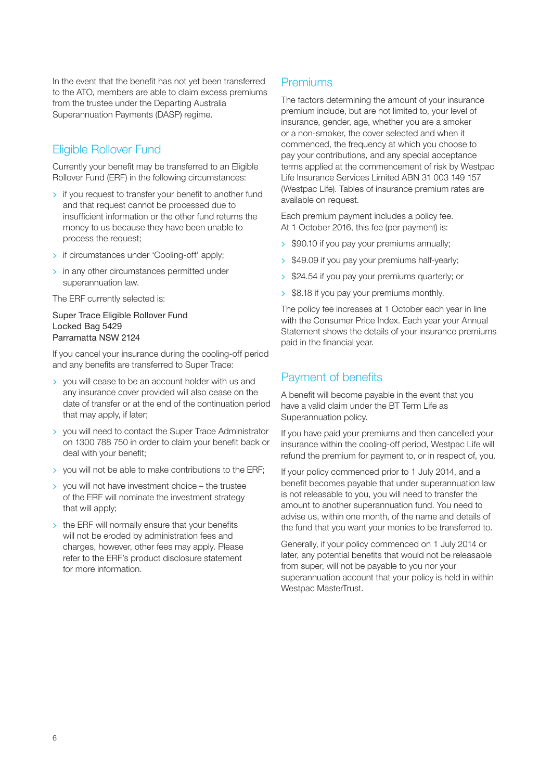In the event that the benefit has not yet been transferred to the ATO, members are able to claim excess premiums from the trustee under the Departing Australia Superannuation Payments (DASP) regime.

## Eligible Rollover Fund

Currently your benefit may be transferred to an Eligible Rollover Fund (ERF) in the following circumstances:

- > if you request to transfer your benefit to another fund and that request cannot be processed due to insufficient information or the other fund returns the money to us because they have been unable to process the request;
- > if circumstances under 'Cooling-off' apply;
- > in any other circumstances permitted under superannuation law.

The ERF currently selected is:

#### Super Trace Eligible Rollover Fund Locked Bag 5429 Parramatta NSW 2124

If you cancel your insurance during the cooling-off period and any benefits are transferred to Super Trace:

- > you will cease to be an account holder with us and any insurance cover provided will also cease on the date of transfer or at the end of the continuation period that may apply, if later;
- > you will need to contact the Super Trace Administrator on 1300 788 750 in order to claim your benefit back or deal with your benefit;
- > you will not be able to make contributions to the ERF;
- > you will not have investment choice the trustee of the ERF will nominate the investment strategy that will apply;
- > the ERF will normally ensure that your benefits will not be eroded by administration fees and charges, however, other fees may apply. Please refer to the ERF's product disclosure statement for more information.

### **Premiums**

The factors determining the amount of your insurance premium include, but are not limited to, your level of insurance, gender, age, whether you are a smoker or a non-smoker, the cover selected and when it commenced, the frequency at which you choose to pay your contributions, and any special acceptance terms applied at the commencement of risk by Westpac Life Insurance Services Limited ABN 31 003 149 157 (Westpac Life). Tables of insurance premium rates are available on request.

Each premium payment includes a policy fee. At 1 October 2016, this fee (per payment) is:

- > \$90.10 if you pay your premiums annually:
- > \$49.09 if you pay your premiums half-yearly;
- > \$24.54 if you pay your premiums quarterly; or
- $\geq$  \$8.18 if you pay your premiums monthly.

The policy fee increases at 1 October each year in line with the Consumer Price Index. Each year your Annual Statement shows the details of your insurance premiums paid in the financial year.

## Payment of benefits

A benefit will become payable in the event that you have a valid claim under the BT Term Life as Superannuation policy.

If you have paid your premiums and then cancelled your insurance within the cooling-off period, Westpac Life will refund the premium for payment to, or in respect of, you.

If your policy commenced prior to 1 July 2014, and a benefit becomes payable that under superannuation law is not releasable to you, you will need to transfer the amount to another superannuation fund. You need to advise us, within one month, of the name and details of the fund that you want your monies to be transferred to.

Generally, if your policy commenced on 1 July 2014 or later, any potential benefits that would not be releasable from super, will not be payable to you nor your superannuation account that your policy is held in within Westpac MasterTrust.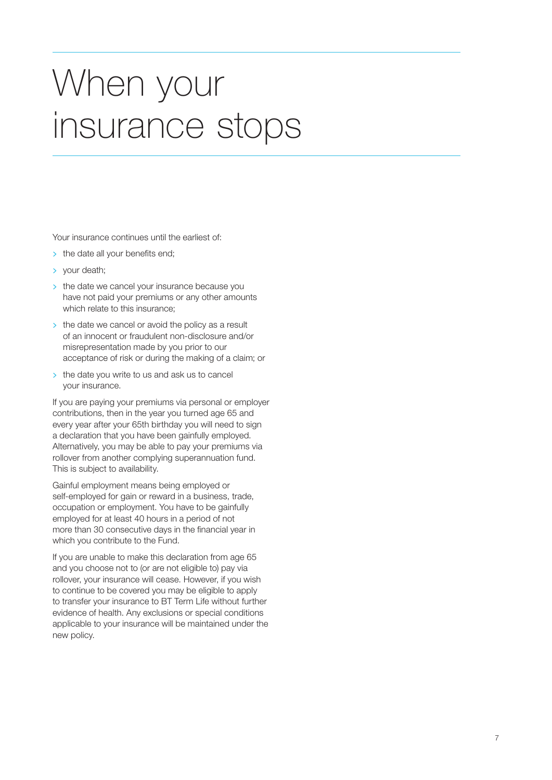## When your insurance stops

Your insurance continues until the earliest of:

- > the date all your benefits end;
- > your death;
- > the date we cancel your insurance because you have not paid your premiums or any other amounts which relate to this insurance;
- $\rightarrow$  the date we cancel or avoid the policy as a result of an innocent or fraudulent non-disclosure and/or misrepresentation made by you prior to our acceptance of risk or during the making of a claim; or
- > the date you write to us and ask us to cancel your insurance.

If you are paying your premiums via personal or employer contributions, then in the year you turned age 65 and every year after your 65th birthday you will need to sign a declaration that you have been gainfully employed. Alternatively, you may be able to pay your premiums via rollover from another complying superannuation fund. This is subject to availability.

Gainful employment means being employed or self-employed for gain or reward in a business, trade, occupation or employment. You have to be gainfully employed for at least 40 hours in a period of not more than 30 consecutive days in the financial year in which you contribute to the Fund.

If you are unable to make this declaration from age 65 and you choose not to (or are not eligible to) pay via rollover, your insurance will cease. However, if you wish to continue to be covered you may be eligible to apply to transfer your insurance to BT Term Life without further evidence of health. Any exclusions or special conditions applicable to your insurance will be maintained under the new policy.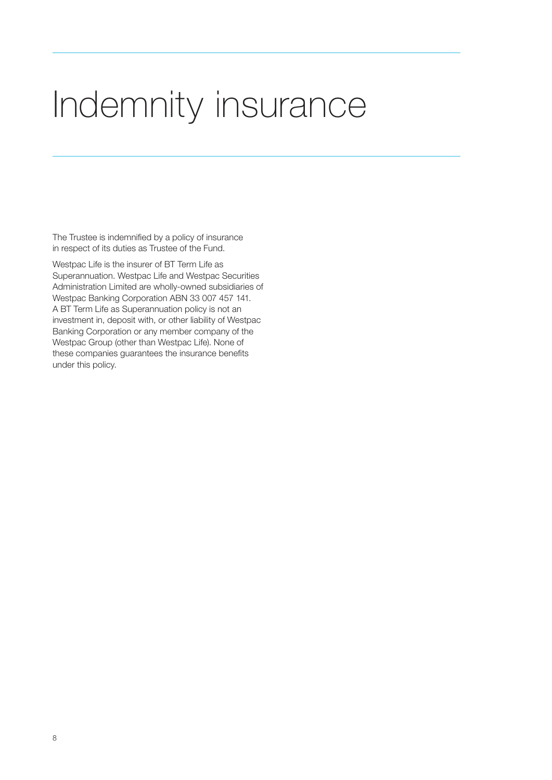## Indemnity insurance

The Trustee is indemnified by a policy of insurance in respect of its duties as Trustee of the Fund.

Westpac Life is the insurer of BT Term Life as Superannuation. Westpac Life and Westpac Securities Administration Limited are wholly-owned subsidiaries of Westpac Banking Corporation ABN 33 007 457 141. A BT Term Life as Superannuation policy is not an investment in, deposit with, or other liability of Westpac Banking Corporation or any member company of the Westpac Group (other than Westpac Life). None of these companies guarantees the insurance benefits under this policy.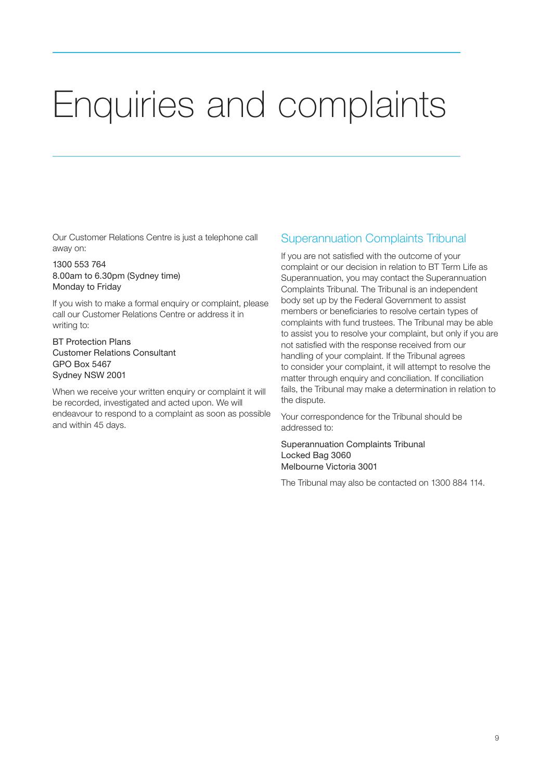## Enquiries and complaints

Our Customer Relations Centre is just a telephone call away on:

1300 553 764 8.00am to 6.30pm (Sydney time) Monday to Friday

If you wish to make a formal enquiry or complaint, please call our Customer Relations Centre or address it in writing to:

#### BT Protection Plans Customer Relations Consultant GPO Box 5467 Sydney NSW 2001

When we receive your written enquiry or complaint it will be recorded, investigated and acted upon. We will endeavour to respond to a complaint as soon as possible and within 45 days.

### Superannuation Complaints Tribunal

If you are not satisfied with the outcome of your complaint or our decision in relation to BT Term Life as Superannuation, you may contact the Superannuation Complaints Tribunal. The Tribunal is an independent body set up by the Federal Government to assist members or beneficiaries to resolve certain types of complaints with fund trustees. The Tribunal may be able to assist you to resolve your complaint, but only if you are not satisfied with the response received from our handling of your complaint. If the Tribunal agrees to consider your complaint, it will attempt to resolve the matter through enquiry and conciliation. If conciliation fails, the Tribunal may make a determination in relation to the dispute.

Your correspondence for the Tribunal should be addressed to:

Superannuation Complaints Tribunal Locked Bag 3060 Melbourne Victoria 3001

The Tribunal may also be contacted on 1300 884 114.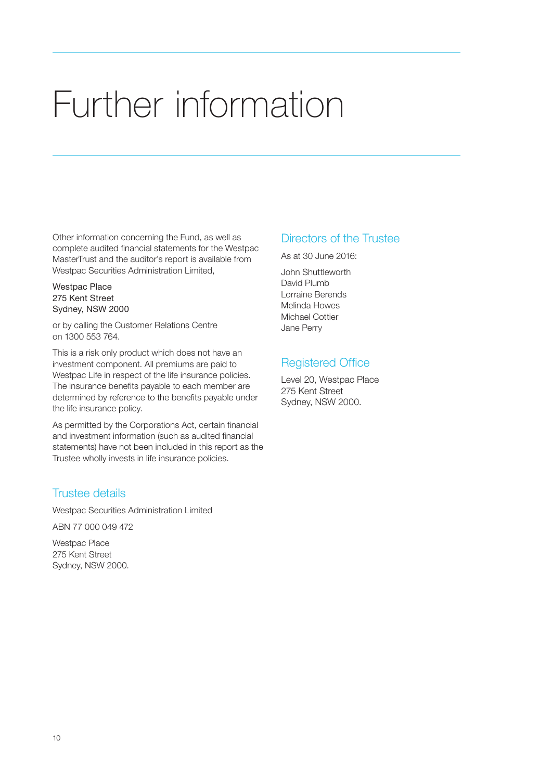## Further information

Other information concerning the Fund, as well as complete audited financial statements for the Westpac MasterTrust and the auditor's report is available from Westpac Securities Administration Limited,

#### Westpac Place 275 Kent Street Sydney, NSW 2000

or by calling the Customer Relations Centre on 1300 553 764.

This is a risk only product which does not have an investment component. All premiums are paid to Westpac Life in respect of the life insurance policies. The insurance benefits payable to each member are determined by reference to the benefits payable under the life insurance policy.

As permitted by the Corporations Act, certain financial and investment information (such as audited financial statements) have not been included in this report as the Trustee wholly invests in life insurance policies.

## Trustee details

Westpac Securities Administration Limited

ABN 77 000 049 472

Westpac Place 275 Kent Street Sydney, NSW 2000.

## Directors of the Trustee

As at 30 June 2016:

John Shuttleworth David Plumb Lorraine Berends Melinda Howes Michael Cottier Jane Perry

## Registered Office

Level 20, Westpac Place 275 Kent Street Sydney, NSW 2000.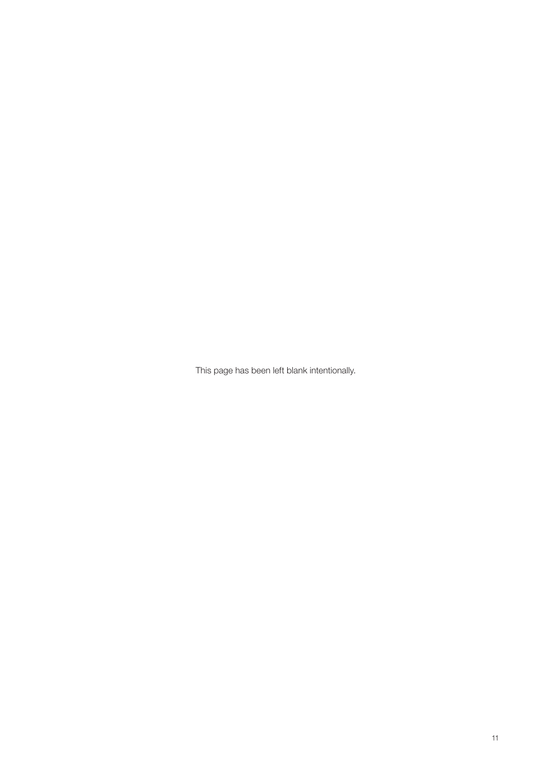This page has been left blank intentionally.